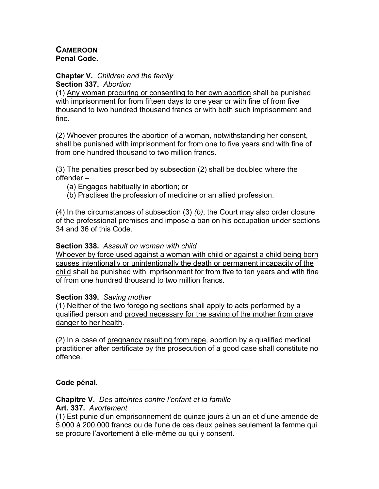### **CAMEROON Penal Code.**

#### **Chapter V.** *Children and the family* **Section 337.** *Abortion*

(1) Any woman procuring or consenting to her own abortion shall be punished with imprisonment for from fifteen days to one year or with fine of from five thousand to two hundred thousand francs or with both such imprisonment and fine.

(2) Whoever procures the abortion of a woman, notwithstanding her consent, shall be punished with imprisonment for from one to five years and with fine of from one hundred thousand to two million francs.

(3) The penalties prescribed by subsection (2) shall be doubled where the offender –

- (a) Engages habitually in abortion; or
- (b) Practises the profession of medicine or an allied profession.

(4) In the circumstances of subsection (3) *(b)*, the Court may also order closure of the professional premises and impose a ban on his occupation under sections 34 and 36 of this Code.

### **Section 338.** *Assault on woman with child*

Whoever by force used against a woman with child or against a child being born causes intentionally or unintentionally the death or permanent incapacity of the child shall be punished with imprisonment for from five to ten years and with fine of from one hundred thousand to two million francs.

### **Section 339.** *Saving mother*

(1) Neither of the two foregoing sections shall apply to acts performed by a qualified person and proved necessary for the saving of the mother from grave danger to her health.

(2) In a case of pregnancy resulting from rape, abortion by a qualified medical practitioner after certificate by the prosecution of a good case shall constitute no offence.

 $\mathcal{L}=\{1,2,3,4,5\}$ 

## **Code pénal.**

# **Chapitre V.** *Des atteintes contre l'enfant et la famille*

### **Art. 337.** *Avortement*

(1) Est punie d'un emprisonnement de quinze jours à un an et d'une amende de 5.000 à 200.000 francs ou de l'une de ces deux peines seulement la femme qui se procure l'avortement à elle-même ou qui y consent.